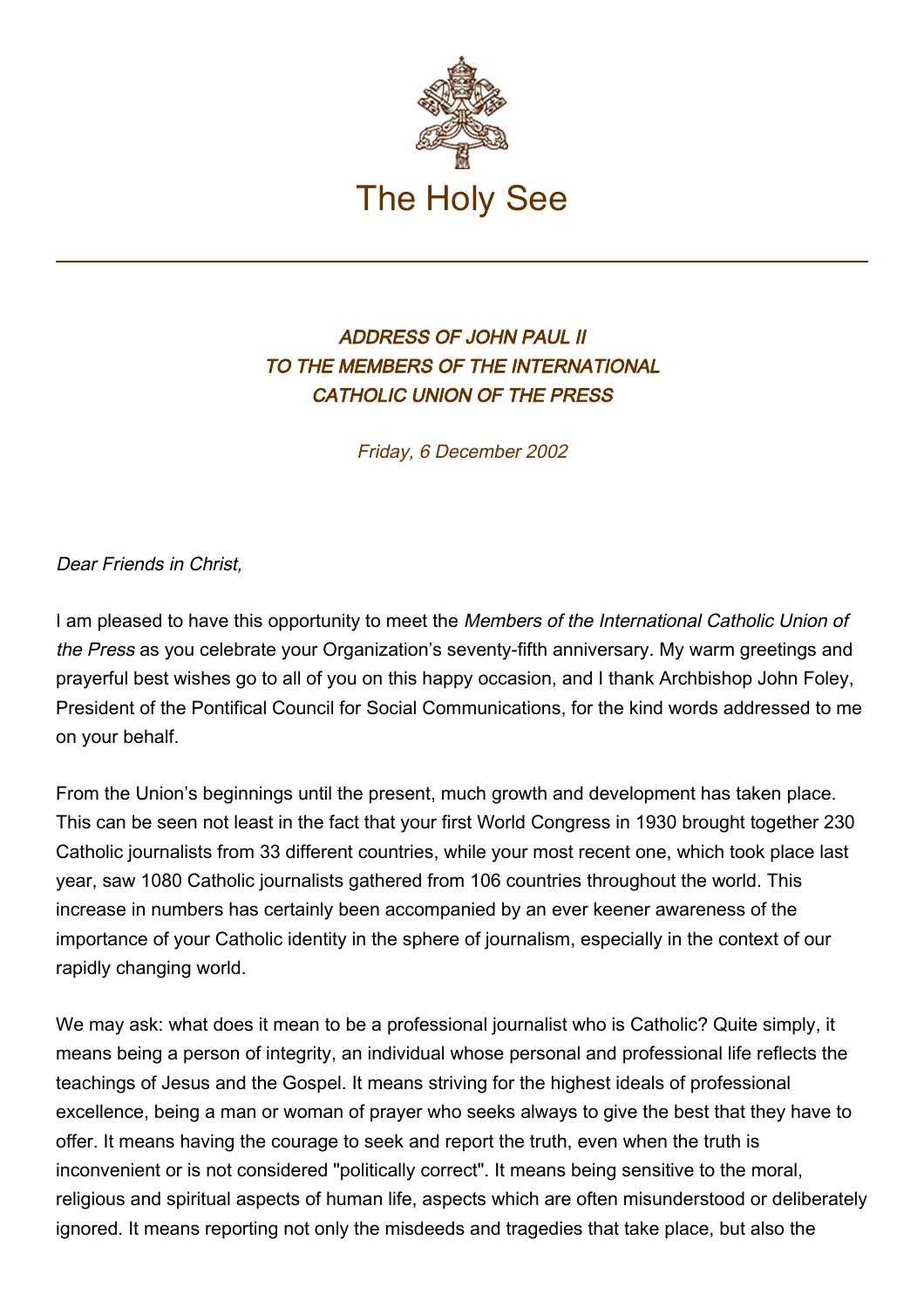

## ADDRESS OF JOHN PAUL II TO THE MEMBERS OF THE INTERNATIONAL CATHOLIC UNION OF THE PRESS

Friday, 6 December 2002

## Dear Friends in Christ,

I am pleased to have this opportunity to meet the Members of the International Catholic Union of the Press as you celebrate your Organization's seventy-fifth anniversary. My warm greetings and prayerful best wishes go to all of you on this happy occasion, and I thank Archbishop John Foley, President of the Pontifical Council for Social Communications, for the kind words addressed to me on your behalf.

From the Union's beginnings until the present, much growth and development has taken place. This can be seen not least in the fact that your first World Congress in 1930 brought together 230 Catholic journalists from 33 different countries, while your most recent one, which took place last year, saw 1080 Catholic journalists gathered from 106 countries throughout the world. This increase in numbers has certainly been accompanied by an ever keener awareness of the importance of your Catholic identity in the sphere of journalism, especially in the context of our rapidly changing world.

We may ask: what does it mean to be a professional journalist who is Catholic? Quite simply, it means being a person of integrity, an individual whose personal and professional life reflects the teachings of Jesus and the Gospel. It means striving for the highest ideals of professional excellence, being a man or woman of prayer who seeks always to give the best that they have to offer. It means having the courage to seek and report the truth, even when the truth is inconvenient or is not considered "politically correct". It means being sensitive to the moral, religious and spiritual aspects of human life, aspects which are often misunderstood or deliberately ignored. It means reporting not only the misdeeds and tragedies that take place, but also the